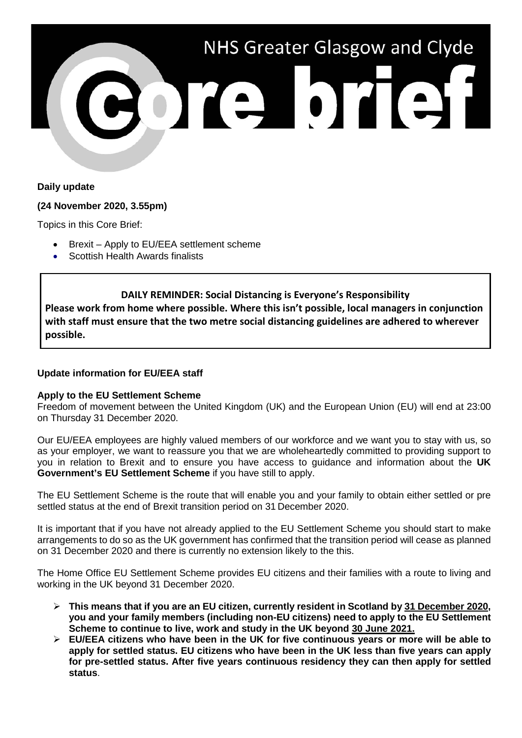

# **Daily update**

## **(24 November 2020, 3.55pm)**

Topics in this Core Brief:

- Brexit Apply to EU/EEA settlement scheme
- Scottish Health Awards finalists

## **DAILY REMINDER: Social Distancing is Everyone's Responsibility**

**Please work from home where possible. Where this isn't possible, local managers in conjunction with staff must ensure that the two metre social distancing guidelines are adhered to wherever possible.**

# **Update information for EU/EEA staff**

## **Apply to the EU Settlement Scheme**

Freedom of movement between the United Kingdom (UK) and the European Union (EU) will end at 23:00 on Thursday 31 December 2020.

Our EU/EEA employees are highly valued members of our workforce and we want you to stay with us, so as your employer, we want to reassure you that we are wholeheartedly committed to providing support to you in relation to Brexit and to ensure you have access to guidance and information about the **UK Government's EU Settlement Scheme** if you have still to apply.

The EU Settlement Scheme is the route that will enable you and your family to obtain either settled or pre settled status at the end of Brexit transition period on 31 December 2020.

It is important that if you have not already applied to the EU Settlement Scheme you should start to make arrangements to do so as the UK government has confirmed that the transition period will cease as planned on 31 December 2020 and there is currently no extension likely to the this.

The Home Office EU Settlement Scheme provides EU citizens and their families with a route to living and working in the UK beyond 31 December 2020.

- **This means that if you are an EU citizen, currently resident in Scotland by 31 December 2020, you and your family members (including non-EU citizens) need to apply to the EU Settlement Scheme to continue to live, work and study in the UK beyond 30 June 2021.**
- **EU/EEA citizens who have been in the UK for five continuous years or more will be able to apply for settled status. EU citizens who have been in the UK less than five years can apply for pre-settled status. After five years continuous residency they can then apply for settled status**.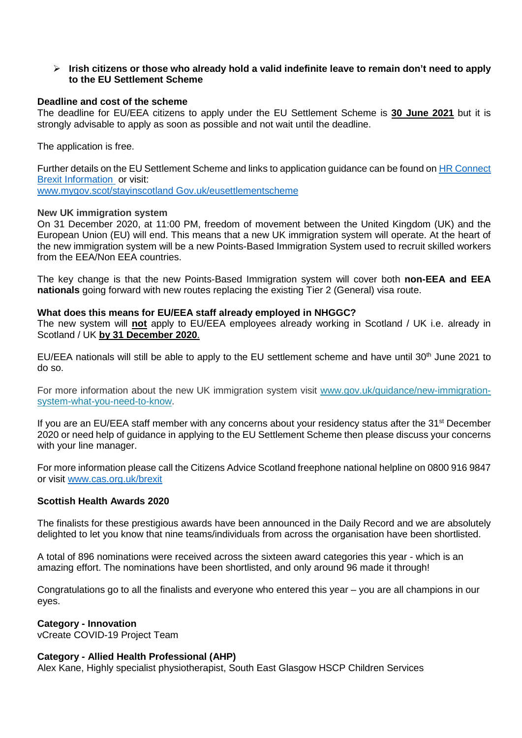### **Irish citizens or those who already hold a valid indefinite leave to remain don't need to apply to the EU Settlement Scheme**

### **Deadline and cost of the scheme**

The deadline for EU/EEA citizens to apply under the EU Settlement Scheme is **30 June 2021** but it is strongly advisable to apply as soon as possible and not wait until the deadline.

The application is free.

Further details on the EU Settlement Scheme and links to application guidance can be found o[n HR Connect](https://www.nhsggc.org.uk/working-with-us/hr-connect/brexit-information-for-managers-staff/)  [Brexit Information](https://www.nhsggc.org.uk/working-with-us/hr-connect/brexit-information-for-managers-staff/) or visit:

[www.mygov.scot/stayinscotland](http://www.mygov.scot/stayinscotland) Gov.uk/eusettlementscheme

#### **New UK immigration system**

On 31 December 2020, at 11:00 PM, freedom of movement between the United Kingdom (UK) and the European Union (EU) will end. This means that a new UK immigration system will operate. At the heart of the new immigration system will be a new Points-Based Immigration System used to recruit skilled workers from the EEA/Non EEA countries.

The key change is that the new Points-Based Immigration system will cover both **non-EEA and EEA nationals** going forward with new routes replacing the existing Tier 2 (General) visa route.

### **What does this means for EU/EEA staff already employed in NHGGC?**

The new system will **not** apply to EU/EEA employees already working in Scotland / UK i.e. already in Scotland / UK **by 31 December 2020**.

EU/EEA nationals will still be able to apply to the EU settlement scheme and have until 30<sup>th</sup> June 2021 to do so.

For more information about the new UK immigration system visit [www.gov.uk/guidance/new-immigration](https://www.gov.uk/guidance/new-immigration-system-what-you-need-to-know)[system-what-you-need-to-know.](https://www.gov.uk/guidance/new-immigration-system-what-you-need-to-know)

If you are an EU/EEA staff member with any concerns about your residency status after the 31<sup>st</sup> December 2020 or need help of guidance in applying to the EU Settlement Scheme then please discuss your concerns with your line manager.

For more information please call the Citizens Advice Scotland freephone national helpline on 0800 916 9847 or visit [www.cas.org.uk/brexit](http://www.cas.org.uk/brexit)

#### **Scottish Health Awards 2020**

The finalists for these prestigious awards have been announced in the Daily Record and we are absolutely delighted to let you know that nine teams/individuals from across the organisation have been shortlisted.

A total of 896 nominations were received across the sixteen award categories this year - which is an amazing effort. The nominations have been shortlisted, and only around 96 made it through!

Congratulations go to all the finalists and everyone who entered this year – you are all champions in our eyes.

#### **Category - Innovation**

vCreate COVID-19 Project Team

## **Category - Allied Health Professional (AHP)**

Alex Kane, Highly specialist physiotherapist, South East Glasgow HSCP Children Services